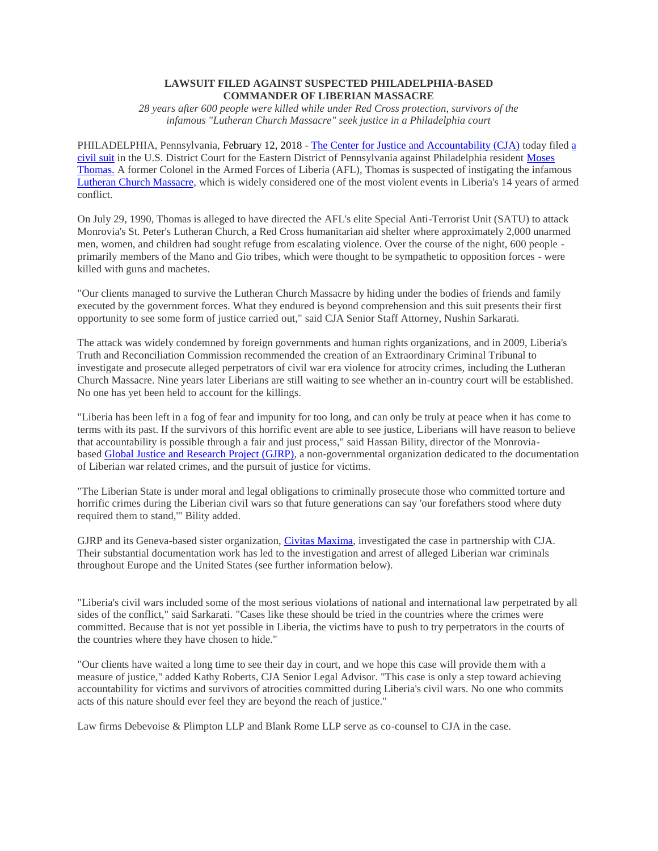# **LAWSUIT FILED AGAINST SUSPECTED PHILADELPHIA-BASED COMMANDER OF LIBERIAN MASSACRE**

*28 years after 600 people were killed while under Red Cross protection, survivors of the infamous "Lutheran Church Massacre" seek justice in a Philadelphia court*

PHILADELPHIA, Pennsylvania, February 12, 2018 - [The Center for Justice and Accountability \(CJA\)](http://cja.org/) today filed [a](http://cja.org/wp-content/uploads/2018/02/Jane-W-v.-Moses-Thomas-18-cv-00569.pdf)  [civil suit](http://cja.org/wp-content/uploads/2018/02/Jane-W-v.-Moses-Thomas-18-cv-00569.pdf) in the U.S. District Court for the Eastern District of Pennsylvania against Philadelphia resident [Moses](http://cja.org/what-we-do/litigation/jane-v-thomas/perpetrator/)  [Thomas.](http://cja.org/what-we-do/litigation/jane-v-thomas/perpetrator/) A former Colonel in the Armed Forces of Liberia (AFL), Thomas is suspected of instigating the infamou[s](http://cja.org/what-we-do/litigation/jane-v-thomas/) [Lutheran Church Massacre,](http://cja.org/what-we-do/litigation/jane-v-thomas/) which is widely considered one of the most violent events in Liberia's 14 years of armed conflict.

On July 29, 1990, Thomas is alleged to have directed the AFL's elite Special Anti-Terrorist Unit (SATU) to attack Monrovia's St. Peter's Lutheran Church, a Red Cross humanitarian aid shelter where approximately 2,000 unarmed men, women, and children had sought refuge from escalating violence. Over the course of the night, 600 people primarily members of the Mano and Gio tribes, which were thought to be sympathetic to opposition forces - were killed with guns and machetes.

"Our clients managed to survive the Lutheran Church Massacre by hiding under the bodies of friends and family executed by the government forces. What they endured is beyond comprehension and this suit presents their first opportunity to see some form of justice carried out," said CJA Senior Staff Attorney, Nushin Sarkarati.

The attack was widely condemned by foreign governments and human rights organizations, and in 2009, Liberia's Truth and Reconciliation Commission recommended the creation of an Extraordinary Criminal Tribunal to investigate and prosecute alleged perpetrators of civil war era violence for atrocity crimes, including the Lutheran Church Massacre. Nine years later Liberians are still waiting to see whether an in-country court will be established. No one has yet been held to account for the killings.

"Liberia has been left in a fog of fear and impunity for too long, and can only be truly at peace when it has come to terms with its past. If the survivors of this horrific event are able to see justice, Liberians will have reason to believe that accountability is possible through a fair and just process," said Hassan Bility, director of the Monroviabased [Global Justice and Research Project](http://www.globaljustice-research.org/) (GJRP), a non-governmental organization dedicated to the documentation of Liberian war related crimes, and the pursuit of justice for victims.

"The Liberian State is under moral and legal obligations to criminally prosecute those who committed torture and horrific crimes during the Liberian civil wars so that future generations can say 'our forefathers stood where duty required them to stand,'" Bility added.

GJRP and its Geneva-based sister organization, [Civitas Maxima,](https://www.civitas-maxima.org/en) investigated the case in partnership with CJA. Their substantial documentation work has led to the investigation and arrest of alleged Liberian war criminals throughout Europe and the United States (see further information below).

"Liberia's civil wars included some of the most serious violations of national and international law perpetrated by all sides of the conflict," said Sarkarati. "Cases like these should be tried in the countries where the crimes were committed. Because that is not yet possible in Liberia, the victims have to push to try perpetrators in the courts of the countries where they have chosen to hide."

"Our clients have waited a long time to see their day in court, and we hope this case will provide them with a measure of justice," added Kathy Roberts, CJA Senior Legal Advisor. "This case is only a step toward achieving accountability for victims and survivors of atrocities committed during Liberia's civil wars. No one who commits acts of this nature should ever feel they are beyond the reach of justice."

Law firms Debevoise & Plimpton LLP and Blank Rome LLP serve as co-counsel to CJA in the case.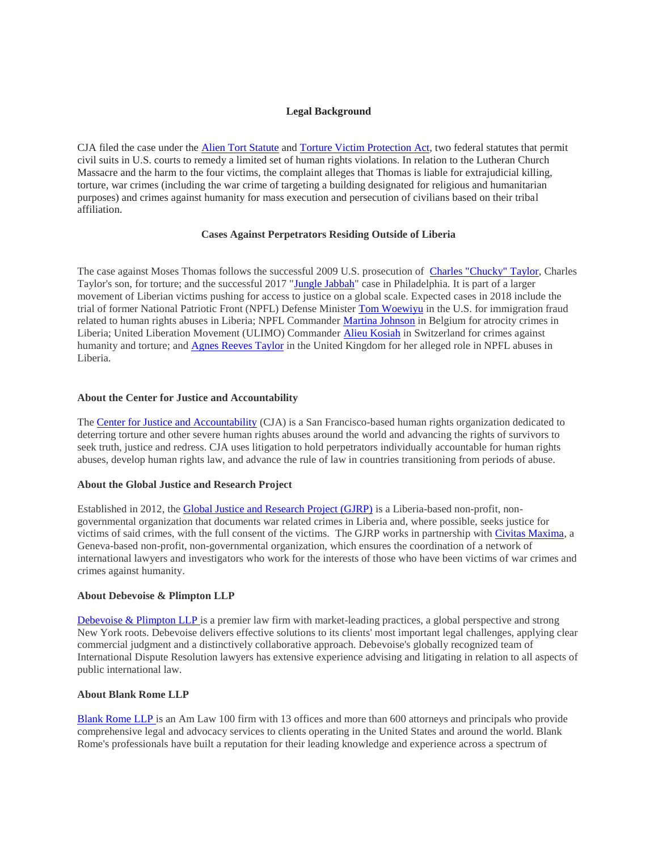# **Legal Background**

CJA filed the case under the [Alien Tort Statute](http://cja.org/what-we-do/litigation/legal-strategy/the-alien-tort-statute/) and [Torture Victim Protection Act,](https://www.asil.org/sites/default/files/benchbook/humanrights2.pdf) two federal statutes that permit civil suits in U.S. courts to remedy a limited set of human rights violations. In relation to the Lutheran Church Massacre and the harm to the four victims, the complaint alleges that Thomas is liable for extrajudicial killing, torture, war crimes (including the war crime of targeting a building designated for religious and humanitarian purposes) and crimes against humanity for mass execution and persecution of civilians based on their tribal affiliation.

## **Cases Against Perpetrators Residing Outside of Liberia**

The case against Moses Thomas follows the successful 2009 U.S. prosecution of [Charles "Chucky" Taylor,](http://cja.org/where-we-work/liberia/us-v-belfast/) Charles Taylor's son, for torture; and the successful 2017 ["Jungle Jabbah"](http://www.philly.com/philly/news/pennsylvania/philadelphia/delco-man-guilty-of-immigration-fraud-in-jungle-jabbah-war-crimes-case-20171018.html) case in Philadelphia. It is part of a larger movement of Liberian victims pushing for access to justice on a global scale. Expected cases in 2018 include the trial of former National Patriotic Front (NPFL) Defense Minister [Tom Woewiyu](https://trialinternational.org/latest-post/jucontee-thomas-smith-woewiyu/) in the U.S. for immigration fraud related to human rights abuses in Liberia; NPFL Commander [Martina Johnson](https://www.theguardian.com/global-development/2014/oct/07/martina-johnson-liberia-war-crimes-trial) in Belgium for atrocity crimes in Liberia; United Liberation Movement (ULIMO) Commande[r Alieu Kosiah](https://www.nytimes.com/2015/01/17/world/africa/a-former-commander-of-liberian-rebels-is-arrested-in-switzerland.html) in Switzerland for crimes against humanity and torture; and [Agnes Reeves Taylor](https://www.hrw.org/news/2017/06/03/liberia-uk-arrest-civil-war-crimes-step-justice) in the United Kingdom for her alleged role in NPFL abuses in Liberia.

#### **About the Center for Justice and Accountability**

The [Center for Justice and Accountability](http://cja.org/) (CJA) is a San Francisco-based human rights organization dedicated to deterring torture and other severe human rights abuses around the world and advancing the rights of survivors to seek truth, justice and redress. CJA uses litigation to hold perpetrators individually accountable for human rights abuses, develop human rights law, and advance the rule of law in countries transitioning from periods of abuse.

## **About the Global Justice and Research Project**

Established in 2012, the [Global Justice and Research Project \(GJRP\)](http://www.globaljustice-research.org/) is a Liberia-based non-profit, nongovernmental organization that documents war related crimes in Liberia and, where possible, seeks justice for victims of said crimes, with the full consent of the victims. The GJRP works in partnership with [Civitas Maxima,](https://www.civitas-maxima.org/en) a Geneva-based non-profit, non-governmental organization, which ensures the coordination of a network of international lawyers and investigators who work for the interests of those who have been victims of war crimes and crimes against humanity.

#### **About Debevoise & Plimpton LLP**

[Debevoise & Plimpton LLP](https://www.debevoise.com/) is a premier law firm with market-leading practices, a global perspective and strong New York roots. Debevoise delivers effective solutions to its clients' most important legal challenges, applying clear commercial judgment and a distinctively collaborative approach. Debevoise's globally recognized team of International Dispute Resolution lawyers has extensive experience advising and litigating in relation to all aspects of public international law.

#### **About Blank Rome LLP**

[Blank Rome LLP](https://www.blankrome.com/) is an Am Law 100 firm with 13 offices and more than 600 attorneys and principals who provide comprehensive legal and advocacy services to clients operating in the United States and around the world. Blank Rome's professionals have built a reputation for their leading knowledge and experience across a spectrum of